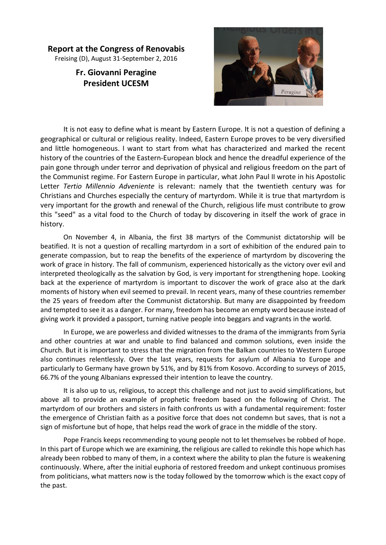## **Report at the Congress of Renovabis**

Freising (D), August 31-September 2, 2016

## **Fr. Giovanni Peragine President UCESM**



It is not easy to define what is meant by Eastern Europe. It is not a question of defining a geographical or cultural or religious reality. Indeed, Eastern Europe proves to be very diversified and little homogeneous. I want to start from what has characterized and marked the recent history of the countries of the Eastern-European block and hence the dreadful experience of the pain gone through under terror and deprivation of physical and religious freedom on the part of the Communist regime. For Eastern Europe in particular, what John Paul II wrote in his Apostolic Letter *Tertio Millennio Adveniente* is relevant: namely that the twentieth century was for Christians and Churches especially the century of martyrdom. While it is true that martyrdom is very important for the growth and renewal of the Church, religious life must contribute to grow this "seed" as a vital food to the Church of today by discovering in itself the work of grace in history.

On November 4, in Albania, the first 38 martyrs of the Communist dictatorship will be beatified. It is not a question of recalling martyrdom in a sort of exhibition of the endured pain to generate compassion, but to reap the benefits of the experience of martyrdom by discovering the work of grace in history. The fall of communism, experienced historically as the victory over evil and interpreted theologically as the salvation by God, is very important for strengthening hope. Looking back at the experience of martyrdom is important to discover the work of grace also at the dark moments of history when evil seemed to prevail. In recent years, many of these countries remember the 25 years of freedom after the Communist dictatorship. But many are disappointed by freedom and tempted to see it as a danger. For many, freedom has become an empty word because instead of giving work it provided a passport, turning native people into beggars and vagrants in the world.

In Europe, we are powerless and divided witnesses to the drama of the immigrants from Syria and other countries at war and unable to find balanced and common solutions, even inside the Church. But it is important to stress that the migration from the Balkan countries to Western Europe also continues relentlessly. Over the last years, requests for asylum of Albania to Europe and particularly to Germany have grown by 51%, and by 81% from Kosovo. According to surveys of 2015, 66.7% of the young Albanians expressed their intention to leave the country.

It is also up to us, religious, to accept this challenge and not just to avoid simplifications, but above all to provide an example of prophetic freedom based on the following of Christ. The martyrdom of our brothers and sisters in faith confronts us with a fundamental requirement: foster the emergence of Christian faith as a positive force that does not condemn but saves, that is not a sign of misfortune but of hope, that helps read the work of grace in the middle of the story.

Pope Francis keeps recommending to young people not to let themselves be robbed of hope. In this part of Europe which we are examining, the religious are called to rekindle this hope which has already been robbed to many of them, in a context where the ability to plan the future is weakening continuously. Where, after the initial euphoria of restored freedom and unkept continuous promises from politicians, what matters now is the today followed by the tomorrow which is the exact copy of the past.